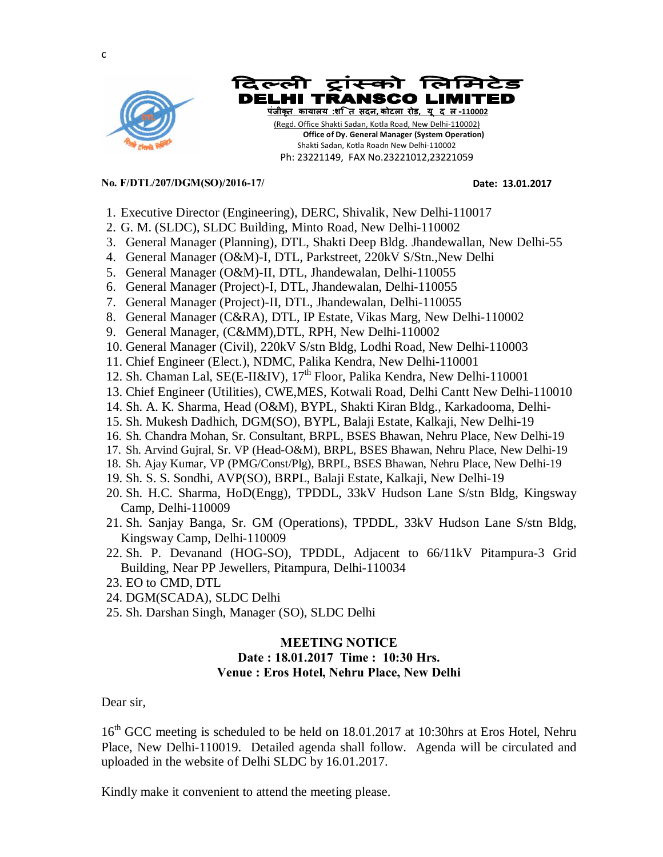





Ph: 23221149, FAX No.23221012,23221059

## **No. F/DTL/207/DGM(SO)/2016-17/ Date: 13.01.2017**

- 1. Executive Director (Engineering), DERC, Shivalik, New Delhi-110017
- 2. G. M. (SLDC), SLDC Building, Minto Road, New Delhi-110002
- 3. General Manager (Planning), DTL, Shakti Deep Bldg. Jhandewallan, New Delhi-55
- 4. General Manager (O&M)-I, DTL, Parkstreet, 220kV S/Stn.,New Delhi
- 5. General Manager (O&M)-II, DTL, Jhandewalan, Delhi-110055
- 6. General Manager (Project)-I, DTL, Jhandewalan, Delhi-110055
- 7. General Manager (Project)-II, DTL, Jhandewalan, Delhi-110055
- 8. General Manager (C&RA), DTL, IP Estate, Vikas Marg, New Delhi-110002
- 9. General Manager, (C&MM),DTL, RPH, New Delhi-110002
- 10. General Manager (Civil), 220kV S/stn Bldg, Lodhi Road, New Delhi-110003
- 11. Chief Engineer (Elect.), NDMC, Palika Kendra, New Delhi-110001
- 12. Sh. Chaman Lal, SE(E-II&IV), 17<sup>th</sup> Floor, Palika Kendra, New Delhi-110001
- 13. Chief Engineer (Utilities), CWE,MES, Kotwali Road, Delhi Cantt New Delhi-110010
- 14. Sh. A. K. Sharma, Head (O&M), BYPL, Shakti Kiran Bldg., Karkadooma, Delhi-
- 15. Sh. Mukesh Dadhich, DGM(SO), BYPL, Balaji Estate, Kalkaji, New Delhi-19
- 16. Sh. Chandra Mohan, Sr. Consultant, BRPL, BSES Bhawan, Nehru Place, New Delhi-19
- 17. Sh. Arvind Gujral, Sr. VP (Head-O&M), BRPL, BSES Bhawan, Nehru Place, New Delhi-19
- 18. Sh. Ajay Kumar, VP (PMG/Const/Plg), BRPL, BSES Bhawan, Nehru Place, New Delhi-19
- 19. Sh. S. S. Sondhi, AVP(SO), BRPL, Balaji Estate, Kalkaji, New Delhi-19
- 20. Sh. H.C. Sharma, HoD(Engg), TPDDL, 33kV Hudson Lane S/stn Bldg, Kingsway Camp, Delhi-110009
- 21. Sh. Sanjay Banga, Sr. GM (Operations), TPDDL, 33kV Hudson Lane S/stn Bldg, Kingsway Camp, Delhi-110009
- 22. Sh. P. Devanand (HOG-SO), TPDDL, Adjacent to 66/11kV Pitampura-3 Grid Building, Near PP Jewellers, Pitampura, Delhi-110034
- 23. EO to CMD, DTL
- 24. DGM(SCADA), SLDC Delhi
- 25. Sh. Darshan Singh, Manager (SO), SLDC Delhi

## **MEETING NOTICE**

## **Date : 18.01.2017 Time : 10:30 Hrs. Venue : Eros Hotel, Nehru Place, New Delhi**

Dear sir,

16<sup>th</sup> GCC meeting is scheduled to be held on 18.01.2017 at 10:30hrs at Eros Hotel, Nehru Place, New Delhi-110019. Detailed agenda shall follow. Agenda will be circulated and uploaded in the website of Delhi SLDC by 16.01.2017.

Kindly make it convenient to attend the meeting please.